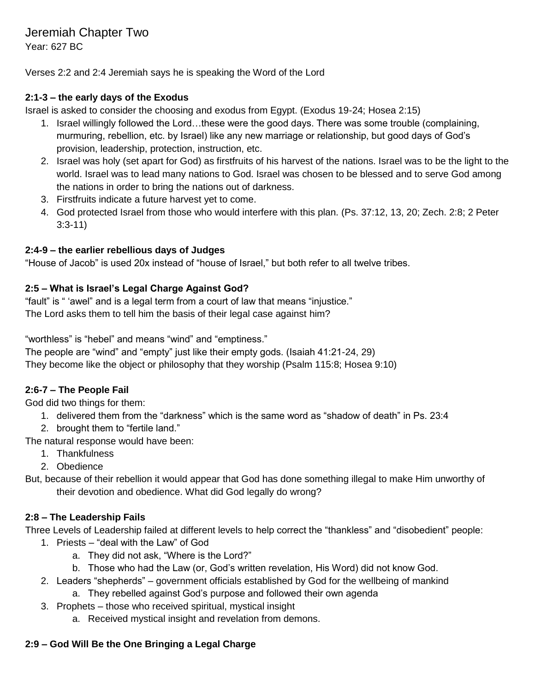Verses 2:2 and 2:4 Jeremiah says he is speaking the Word of the Lord

#### **2:1-3 – the early days of the Exodus**

Israel is asked to consider the choosing and exodus from Egypt. (Exodus 19-24; Hosea 2:15)

- 1. Israel willingly followed the Lord…these were the good days. There was some trouble (complaining, murmuring, rebellion, etc. by Israel) like any new marriage or relationship, but good days of God's provision, leadership, protection, instruction, etc.
- 2. Israel was holy (set apart for God) as firstfruits of his harvest of the nations. Israel was to be the light to the world. Israel was to lead many nations to God. Israel was chosen to be blessed and to serve God among the nations in order to bring the nations out of darkness.
- 3. Firstfruits indicate a future harvest yet to come.
- 4. God protected Israel from those who would interfere with this plan. (Ps. 37:12, 13, 20; Zech. 2:8; 2 Peter 3:3-11)

#### **2:4-9 – the earlier rebellious days of Judges**

"House of Jacob" is used 20x instead of "house of Israel," but both refer to all twelve tribes.

#### **2:5 – What is Israel's Legal Charge Against God?**

"fault" is " 'awel" and is a legal term from a court of law that means "injustice." The Lord asks them to tell him the basis of their legal case against him?

"worthless" is "hebel" and means "wind" and "emptiness."

The people are "wind" and "empty" just like their empty gods. (Isaiah 41:21-24, 29) They become like the object or philosophy that they worship (Psalm 115:8; Hosea 9:10)

#### **2:6-7 – The People Fail**

God did two things for them:

- 1. delivered them from the "darkness" which is the same word as "shadow of death" in Ps. 23:4
- 2. brought them to "fertile land."

The natural response would have been:

- 1. Thankfulness
- 2. Obedience
- But, because of their rebellion it would appear that God has done something illegal to make Him unworthy of their devotion and obedience. What did God legally do wrong?

#### **2:8 – The Leadership Fails**

Three Levels of Leadership failed at different levels to help correct the "thankless" and "disobedient" people:

- 1. Priests "deal with the Law" of God
	- a. They did not ask, "Where is the Lord?"
	- b. Those who had the Law (or, God's written revelation, His Word) did not know God.
- 2. Leaders "shepherds" government officials established by God for the wellbeing of mankind
	- a. They rebelled against God's purpose and followed their own agenda
- 3. Prophets those who received spiritual, mystical insight
	- a. Received mystical insight and revelation from demons.

#### **2:9 – God Will Be the One Bringing a Legal Charge**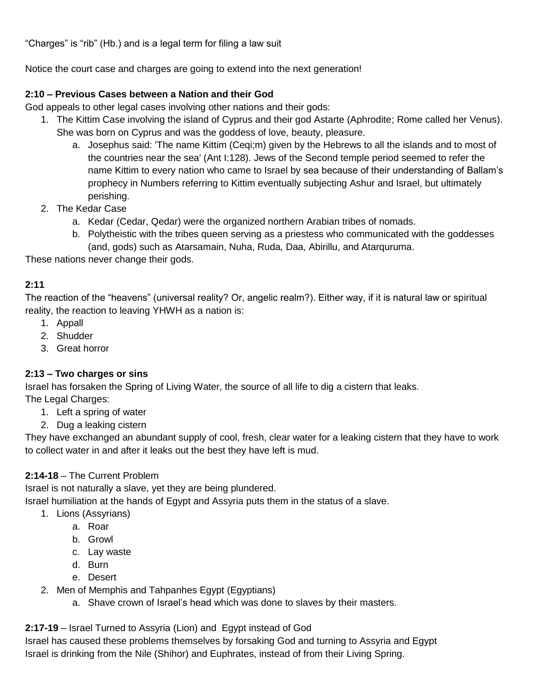"Charges" is "rib" (Hb.) and is a legal term for filing a law suit

Notice the court case and charges are going to extend into the next generation!

#### **2:10 – Previous Cases between a Nation and their God**

God appeals to other legal cases involving other nations and their gods:

- 1. The Kittim Case involving the island of Cyprus and their god Astarte (Aphrodite; Rome called her Venus). She was born on Cyprus and was the goddess of love, beauty, pleasure.
	- a. Josephus said: 'The name Kittim (Ceqi;m) given by the Hebrews to all the islands and to most of the countries near the sea' (Ant I:128). Jews of the Second temple period seemed to refer the name Kittim to every nation who came to Israel by sea because of their understanding of Ballam's prophecy in Numbers referring to Kittim eventually subjecting Ashur and Israel, but ultimately perishing.
- 2. The Kedar Case
	- a. Kedar (Cedar, Qedar) were the organized northern Arabian tribes of nomads.
	- b. Polytheistic with the tribes queen serving as a priestess who communicated with the goddesses (and, gods) such as Atarsamain, Nuha, Ruda, Daa, Abirillu, and Atarquruma.

These nations never change their gods.

#### **2:11**

The reaction of the "heavens" (universal reality? Or, angelic realm?). Either way, if it is natural law or spiritual reality, the reaction to leaving YHWH as a nation is:

- 1. Appall
- 2. Shudder
- 3. Great horror

#### **2:13 – Two charges or sins**

Israel has forsaken the Spring of Living Water, the source of all life to dig a cistern that leaks. The Legal Charges:

- 1. Left a spring of water
- 2. Dug a leaking cistern

They have exchanged an abundant supply of cool, fresh, clear water for a leaking cistern that they have to work to collect water in and after it leaks out the best they have left is mud.

#### **2:14-18** – The Current Problem

Israel is not naturally a slave, yet they are being plundered.

Israel humiliation at the hands of Egypt and Assyria puts them in the status of a slave.

- 1. Lions (Assyrians)
	- a. Roar
	- b. Growl
	- c. Lay waste
	- d. Burn
	- e. Desert
- 2. Men of Memphis and Tahpanhes Egypt (Egyptians)
	- a. Shave crown of Israel's head which was done to slaves by their masters.

#### **2:17-19** – Israel Turned to Assyria (Lion) and Egypt instead of God

Israel has caused these problems themselves by forsaking God and turning to Assyria and Egypt Israel is drinking from the Nile (Shihor) and Euphrates, instead of from their Living Spring.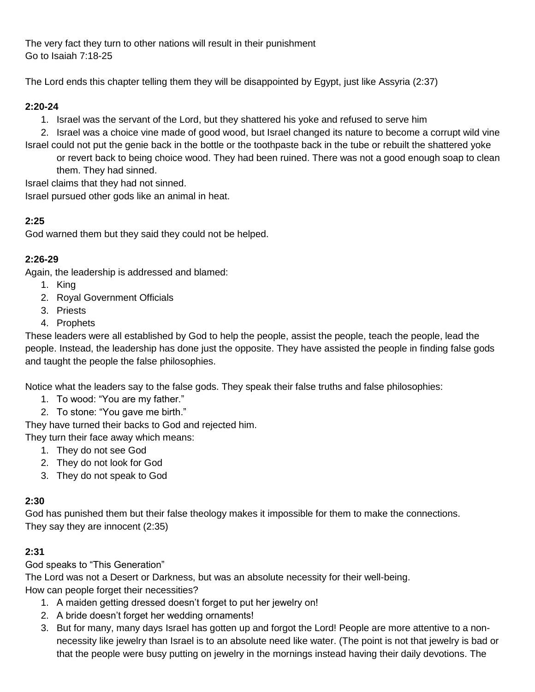The very fact they turn to other nations will result in their punishment Go to Isaiah 7:18-25

The Lord ends this chapter telling them they will be disappointed by Egypt, just like Assyria (2:37)

### **2:20-24**

1. Israel was the servant of the Lord, but they shattered his yoke and refused to serve him

2. Israel was a choice vine made of good wood, but Israel changed its nature to become a corrupt wild vine Israel could not put the genie back in the bottle or the toothpaste back in the tube or rebuilt the shattered yoke

or revert back to being choice wood. They had been ruined. There was not a good enough soap to clean them. They had sinned.

Israel claims that they had not sinned.

Israel pursued other gods like an animal in heat.

### **2:25**

God warned them but they said they could not be helped.

### **2:26-29**

Again, the leadership is addressed and blamed:

- 1. King 2. Royal Government Officials
- 3. Priests
- 4. Prophets

These leaders were all established by God to help the people, assist the people, teach the people, lead the people. Instead, the leadership has done just the opposite. They have assisted the people in finding false gods and taught the people the false philosophies.

Notice what the leaders say to the false gods. They speak their false truths and false philosophies:

- 1. To wood: "You are my father."
- 2. To stone: "You gave me birth."

They have turned their backs to God and rejected him.

They turn their face away which means:

- 1. They do not see God
- 2. They do not look for God
- 3. They do not speak to God

#### **2:30**

God has punished them but their false theology makes it impossible for them to make the connections. They say they are innocent (2:35)

#### **2:31**

God speaks to "This Generation"

The Lord was not a Desert or Darkness, but was an absolute necessity for their well-being. How can people forget their necessities?

- 1. A maiden getting dressed doesn't forget to put her jewelry on!
- 2. A bride doesn't forget her wedding ornaments!
- 3. But for many, many days Israel has gotten up and forgot the Lord! People are more attentive to a nonnecessity like jewelry than Israel is to an absolute need like water. (The point is not that jewelry is bad or that the people were busy putting on jewelry in the mornings instead having their daily devotions. The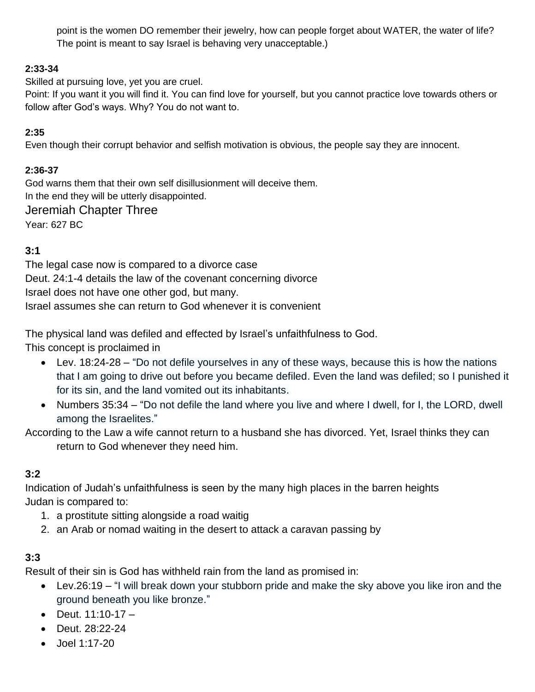point is the women DO remember their jewelry, how can people forget about WATER, the water of life? The point is meant to say Israel is behaving very unacceptable.)

### **2:33-34**

Skilled at pursuing love, yet you are cruel.

Point: If you want it you will find it. You can find love for yourself, but you cannot practice love towards others or follow after God's ways. Why? You do not want to.

### **2:35**

Even though their corrupt behavior and selfish motivation is obvious, the people say they are innocent.

### **2:36-37**

God warns them that their own self disillusionment will deceive them. In the end they will be utterly disappointed.

### Jeremiah Chapter Three

Year: 627 BC

## **3:1**

The legal case now is compared to a divorce case Deut. 24:1-4 details the law of the covenant concerning divorce Israel does not have one other god, but many. Israel assumes she can return to God whenever it is convenient

The physical land was defiled and effected by Israel's unfaithfulness to God.

This concept is proclaimed in

- Lev. 18:24-28 "Do not defile yourselves in any of these ways, because this is how the nations that I am going to drive out before you became defiled. Even the land was defiled; so I punished it for its sin, and the land vomited out its inhabitants.
- Numbers 35:34 "Do not defile the land where you live and where I dwell, for I, the LORD, dwell among the Israelites."

According to the Law a wife cannot return to a husband she has divorced. Yet, Israel thinks they can return to God whenever they need him.

### **3:2**

Indication of Judah's unfaithfulness is seen by the many high places in the barren heights Judan is compared to:

- 1. a prostitute sitting alongside a road waitig
- 2. an Arab or nomad waiting in the desert to attack a caravan passing by

## **3:3**

Result of their sin is God has withheld rain from the land as promised in:

- Lev.26:19 "I will break down your stubborn pride and make the sky above you like iron and the ground beneath you like bronze."
- Deut.  $11:10-17 -$
- Deut. 28:22-24
- Joel 1:17-20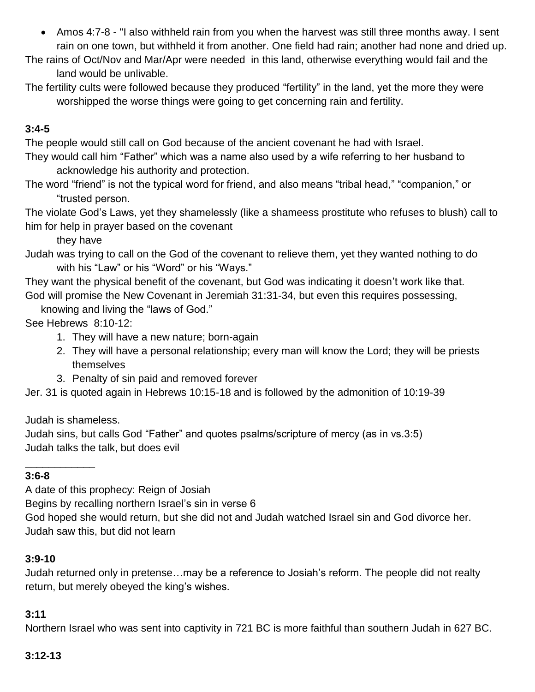- Amos 4:7-8 "I also withheld rain from you when the harvest was still three months away. I sent rain on one town, but withheld it from another. One field had rain; another had none and dried up.
- The rains of Oct/Nov and Mar/Apr were needed in this land, otherwise everything would fail and the land would be unlivable.
- The fertility cults were followed because they produced "fertility" in the land, yet the more they were worshipped the worse things were going to get concerning rain and fertility.

# **3:4-5**

The people would still call on God because of the ancient covenant he had with Israel.

- They would call him "Father" which was a name also used by a wife referring to her husband to acknowledge his authority and protection.
- The word "friend" is not the typical word for friend, and also means "tribal head," "companion," or "trusted person.

The violate God's Laws, yet they shamelessly (like a shameess prostitute who refuses to blush) call to him for help in prayer based on the covenant

they have

Judah was trying to call on the God of the covenant to relieve them, yet they wanted nothing to do with his "Law" or his "Word" or his "Ways."

They want the physical benefit of the covenant, but God was indicating it doesn't work like that. God will promise the New Covenant in Jeremiah 31:31-34, but even this requires possessing,

knowing and living the "laws of God."

See Hebrews 8:10-12:

- 1. They will have a new nature; born-again
- 2. They will have a personal relationship; every man will know the Lord; they will be priests themselves
- 3. Penalty of sin paid and removed forever

Jer. 31 is quoted again in Hebrews 10:15-18 and is followed by the admonition of 10:19-39

Judah is shameless.

\_\_\_\_\_\_\_\_\_\_\_\_

Judah sins, but calls God "Father" and quotes psalms/scripture of mercy (as in vs.3:5) Judah talks the talk, but does evil

### **3:6-8**

A date of this prophecy: Reign of Josiah

Begins by recalling northern Israel's sin in verse 6

God hoped she would return, but she did not and Judah watched Israel sin and God divorce her. Judah saw this, but did not learn

### **3:9-10**

Judah returned only in pretense…may be a reference to Josiah's reform. The people did not realty return, but merely obeyed the king's wishes.

## **3:11**

Northern Israel who was sent into captivity in 721 BC is more faithful than southern Judah in 627 BC.

## **3:12-13**